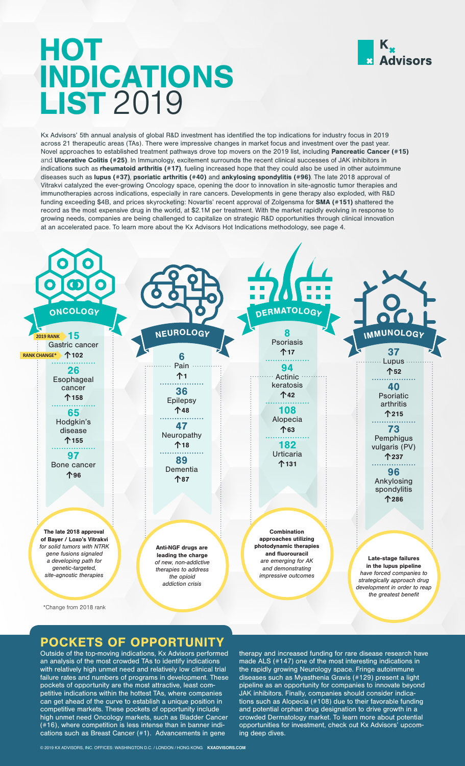

# HOT INDICATIONS LIST 2019

Kx Advisors' 5th annual analysis of global R&D investment has identified the top indications for industry focus in 2019 across 21 therapeutic areas (TAs). There were impressive changes in market focus and investment over the past year. Novel approaches to established treatment pathways drove top movers on the 2019 list, including Pancreatic Cancer (#15) and Ulcerative Colitis (#25). In Immunology, excitement surrounds the recent clinical successes of JAK inhibitors in indications such as rheumatoid arthritis (#17), fueling increased hope that they could also be used in other autoimmune diseases such as lupus (#37), psoriatic arthritis (#40) and ankylosing spondylitis (#96). The late 2018 approval of Vitrakvi catalyzed the ever-growing Oncology space, opening the door to innovation in site-agnostic tumor therapies and immunotherapies across indications, especially in rare cancers. Developments in gene therapy also exploded, with R&D funding exceeding \$4B, and prices skyrocketing: Novartis' recent approval of Zolgensma for SMA (#151) shattered the record as the most expensive drug in the world, at \$2.1M per treatment. With the market rapidly evolving in response to growing needs, companies are being challenged to capitalize on strategic R&D opportunities through clinical innovation at an accelerated pace. To learn more about the Kx Advisors Hot Indications methodology, see page 4.



### **POCKETS OF OPPORTUNIT**

Outside of the top-moving indications, Kx Advisors performed an analysis of the most crowded TAs to identify indications with relatively high unmet need and relatively low clinical trial failure rates and numbers of programs in development. These pockets of opportunity are the most attractive, least competitive indications within the hottest TAs, where companies can get ahead of the curve to establish a unique position in competitive markets. These pockets of opportunity include high unmet need Oncology markets, such as Bladder Cancer (#16), where competition is less intense than in banner indications such as Breast Cancer (#1). Advancements in gene

therapy and increased funding for rare disease research have made ALS (#147) one of the most interesting indications in the rapidly growing Neurology space. Fringe autoimmune diseases such as Myasthenia Gravis (#129) present a light pipeline as an opportunity for companies to innovate beyond JAK inhibitors. Finally, companies should consider indications such as Alopecia (#108) due to their favorable funding and potential orphan drug designation to drive growth in a crowded Dermatology market. To learn more about potential opportunities for investment, check out Kx Advisors' upcoming deep dives.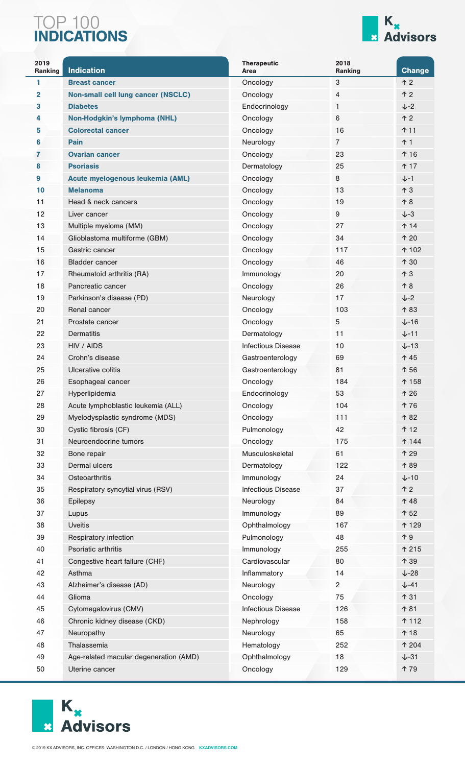### TOP 100 INDICATIONS



| 2019<br>Ranking | <b>Indication</b>                         | <b>Therapeutic</b><br>Area | 2018<br>Ranking | <b>Change</b>    |
|-----------------|-------------------------------------------|----------------------------|-----------------|------------------|
| 1               | <b>Breast cancer</b>                      | Oncology                   | $\sqrt{3}$      | $\uparrow$ 2     |
| $\mathbf{2}$    | <b>Non-small cell lung cancer (NSCLC)</b> | Oncology                   | 4               | $\uparrow$ 2     |
| 3               | <b>Diabetes</b>                           | Endocrinology              | 1               | $J-2$            |
| 4               | <b>Non-Hodgkin's lymphoma (NHL)</b>       | Oncology                   | 6               | $\uparrow$ 2     |
| 5               | <b>Colorectal cancer</b>                  | Oncology                   | 16              | <b>↑11</b>       |
| 6               | Pain                                      | Neurology                  | 7               | ↑ 1              |
| 7               | <b>Ovarian cancer</b>                     | Oncology                   | 23              | ↑ 16             |
| 8               | <b>Psoriasis</b>                          | Dermatology                | 25              | ተ 17             |
| 9               | Acute myelogenous leukemia (AML)          | Oncology                   | 8               | $J-1$            |
| 10              | <b>Melanoma</b>                           | Oncology                   | 13              | $\uparrow$ 3     |
| 11              | Head & neck cancers                       | Oncology                   | 19              | $\uparrow 8$     |
| 12              | Liver cancer                              | Oncology                   | 9               | $J-3$            |
| 13              | Multiple myeloma (MM)                     | Oncology                   | 27              | ↑ 14             |
| 14              | Glioblastoma multiforme (GBM)             | Oncology                   | 34              | ↑ 20             |
| 15              | Gastric cancer                            | Oncology                   | 117             | ↑ 102            |
| 16              | <b>Bladder cancer</b>                     | Oncology                   | 46              | ↑ 30             |
| 17              | Rheumatoid arthritis (RA)                 | Immunology                 | 20              | $\uparrow$ 3     |
| 18              | Pancreatic cancer                         | Oncology                   | 26              | 个8               |
| 19              | Parkinson's disease (PD)                  | Neurology                  | 17              | $\downarrow$ -2  |
| 20              | Renal cancer                              | Oncology                   | 103             | ↑83              |
| 21              | Prostate cancer                           | Oncology                   | 5               | $+16$            |
| 22              | <b>Dermatitis</b>                         | Dermatology                | 11              | $+-11$           |
| 23              | HIV / AIDS                                | <b>Infectious Disease</b>  | 10              | $+-13$           |
| 24              | Crohn's disease                           | Gastroenterology           | 69              | ↑ 45             |
| 25              | Ulcerative colitis                        | Gastroenterology           | 81              | ↑ 56             |
| 26              | Esophageal cancer                         | Oncology                   | 184             | ↑ 158            |
| 27              | Hyperlipidemia                            | Endocrinology              | 53              | ↑ 26             |
| 28              | Acute lymphoblastic leukemia (ALL)        | Oncology                   | 104             | ↑76              |
| 29              | Myelodysplastic syndrome (MDS)            | Oncology                   | 111             | ↑ 82             |
| 30              | Cystic fibrosis (CF)                      | Pulmonology                | 42              | ↑ 12             |
| 31              | Neuroendocrine tumors                     | Oncology                   | 175             | ↑ 144            |
| 32              | Bone repair                               | Musculoskeletal            | 61              | ↑ 29             |
| 33              | Dermal ulcers                             | Dermatology                | 122             | ↑89              |
| 34              | Osteoarthritis                            | Immunology                 | 24              | $\downarrow$ -10 |
| 35              | Respiratory syncytial virus (RSV)         | <b>Infectious Disease</b>  | 37              | $\uparrow$ 2     |
| 36              | <b>Epilepsy</b>                           | Neurology                  | 84              | ↑48              |
| 37              | Lupus                                     | Immunology                 | 89              | ↑ 52             |
| 38              | <b>Uveitis</b>                            | Ophthalmology              | 167             | ↑ 129            |
| 39              | Respiratory infection                     | Pulmonology                | 48              | $\uparrow$ 9     |
| 40              | Psoriatic arthritis                       | Immunology                 | 255             | ↑ 215            |
| 41              | Congestive heart failure (CHF)            | Cardiovascular             | 80              | ↑ 39             |
| 42              | Asthma                                    | Inflammatory               | 14              | $\downarrow$ -28 |
| 43              | Alzheimer's disease (AD)                  | Neurology                  | $\mathbf{2}$    | $+-41$           |
| 44              | Glioma                                    | Oncology                   | 75              | ↑ 31             |
| 45              | Cytomegalovirus (CMV)                     | <b>Infectious Disease</b>  | 126             | ↑ 81             |
| 46              | Chronic kidney disease (CKD)              | Nephrology                 | 158             | ተ 112            |
| 47              | Neuropathy                                | Neurology                  | 65              | ↑ 18             |
| 48              | Thalassemia                               | Hematology                 | 252             | ↑ 204            |
| 49              | Age-related macular degeneration (AMD)    | Ophthalmology              | 18              | $\downarrow$ -31 |
| 50              | Uterine cancer                            | Oncology                   | 129             | ↑79              |

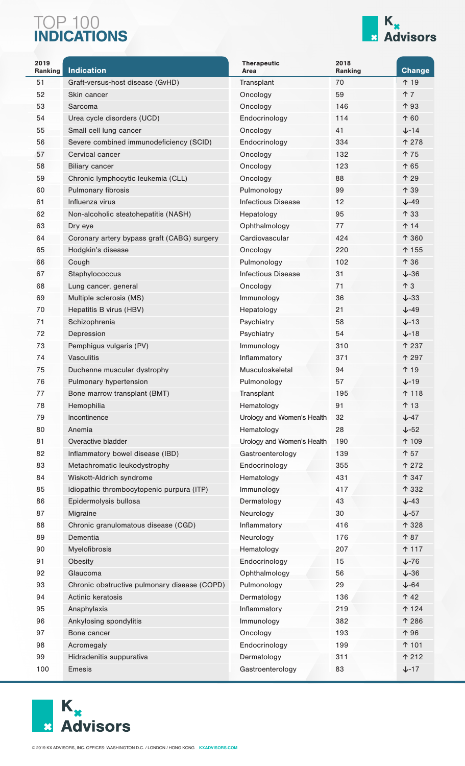### TOP 100 INDICATIONS



| 2019<br>Ranking | <b>Indication</b>                            | <b>Therapeutic</b><br>Area | 2018<br>Ranking | <b>Change</b>    |
|-----------------|----------------------------------------------|----------------------------|-----------------|------------------|
| 51              | Graft-versus-host disease (GvHD)             | Transplant                 | 70              | ↑ 19             |
| 52              | Skin cancer                                  | Oncology                   | 59              | ↑7               |
| 53              | Sarcoma                                      | Oncology                   | 146             | ↑ 93             |
| 54              | Urea cycle disorders (UCD)                   | Endocrinology              | 114             | ↑60              |
| 55              | Small cell lung cancer                       | Oncology                   | 41              | $J - 14$         |
| 56              | Severe combined immunodeficiency (SCID)      | Endocrinology              | 334             | <b>↑ 278</b>     |
| 57              | Cervical cancer                              | Oncology                   | 132             | <b>↑ 75</b>      |
| 58              | <b>Biliary cancer</b>                        | Oncology                   | 123             | ↑ 65             |
| 59              | Chronic lymphocytic leukemia (CLL)           | Oncology                   | 88              | ↑ 29             |
| 60              | <b>Pulmonary fibrosis</b>                    | Pulmonology                | 99              | ↑ 39             |
| 61              | Influenza virus                              | <b>Infectious Disease</b>  | 12              | $+-49$           |
| 62              | Non-alcoholic steatohepatitis (NASH)         | Hepatology                 | 95              | ↑ 33             |
| 63              | Dry eye                                      | Ophthalmology              | 77              | <b>↑ 14</b>      |
| 64              | Coronary artery bypass graft (CABG) surgery  | Cardiovascular             | 424             | ↑ 360            |
| 65              | Hodgkin's disease                            | Oncology                   | 220             | ↑ 155            |
| 66              | Cough                                        | Pulmonology                | 102             | ↑ 36             |
| 67              | Staphylococcus                               | <b>Infectious Disease</b>  | 31              | $\downarrow$ -36 |
| 68              | Lung cancer, general                         | Oncology                   | 71              | $\uparrow$ 3     |
| 69              | Multiple sclerosis (MS)                      | Immunology                 | 36              | $+-33$           |
| 70              | Hepatitis B virus (HBV)                      | Hepatology                 | 21              | $\sqrt{-49}$     |
| 71              | Schizophrenia                                | Psychiatry                 | 58              | $+-13$           |
| 72              | Depression                                   | Psychiatry                 | 54              | $\downarrow$ -18 |
| 73              | Pemphigus vulgaris (PV)                      | Immunology                 | 310             | ↑ 237            |
| 74              | <b>Vasculitis</b>                            | Inflammatory               | 371             | ↑ 297            |
| 75              | Duchenne muscular dystrophy                  | Musculoskeletal            | 94              | ↑ 19             |
| 76              | Pulmonary hypertension                       | Pulmonology                | 57              | $+-19$           |
| 77              | Bone marrow transplant (BMT)                 | Transplant                 | 195             | ↑ 118            |
| 78              | Hemophilia                                   | Hematology                 | 91              | ↑ 13             |
| 79              | Incontinence                                 | Urology and Women's Health | 32              | $\sqrt{-47}$     |
| 80              | Anemia                                       | Hematology                 | 28              | $\sqrt{-52}$     |
| 81              | Overactive bladder                           | Urology and Women's Health | 190             | ↑ 109            |
| 82              | Inflammatory bowel disease (IBD)             | Gastroenterology           | 139             | ↑ 57             |
| 83              | Metachromatic leukodystrophy                 | Endocrinology              | 355             | <b>↑ 272</b>     |
| 84              | Wiskott-Aldrich syndrome                     | Hematology                 | 431             | ↑ 347            |
| 85              | Idiopathic thrombocytopenic purpura (ITP)    | Immunology                 | 417             | ↑ 332            |
| 86              | Epidermolysis bullosa                        | Dermatology                | 43              | $\sqrt{-43}$     |
| 87              | Migraine                                     | Neurology                  | 30              | $\sqrt{-57}$     |
| 88              | Chronic granulomatous disease (CGD)          | Inflammatory               | 416             | ↑ 328            |
| 89              | Dementia                                     | Neurology                  | 176             | ↑87              |
| 90              | Myelofibrosis                                | Hematology                 | 207             | ↑ 117            |
| 91              | Obesity                                      | Endocrinology              | 15              | $\sqrt{-76}$     |
| 92              | Glaucoma                                     | Ophthalmology              | 56              | $\sqrt{-36}$     |
| 93              | Chronic obstructive pulmonary disease (COPD) | Pulmonology                | 29              | $\sqrt{-64}$     |
| 94              | Actinic keratosis                            | Dermatology                | 136             | ↑ 42             |
| 95              | Anaphylaxis                                  | Inflammatory               | 219             | ↑ 124            |
| 96              | Ankylosing spondylitis                       | Immunology                 | 382             | ↑ 286            |
| 97              | Bone cancer                                  | Oncology                   | 193             | ↑ 96             |
| 98              | Acromegaly                                   | Endocrinology              | 199             | ↑ 101            |
| 99              | Hidradenitis suppurativa                     | Dermatology                | 311             | ↑ 212            |
| 100             | Emesis                                       | Gastroenterology           | 83              | $+-17$           |

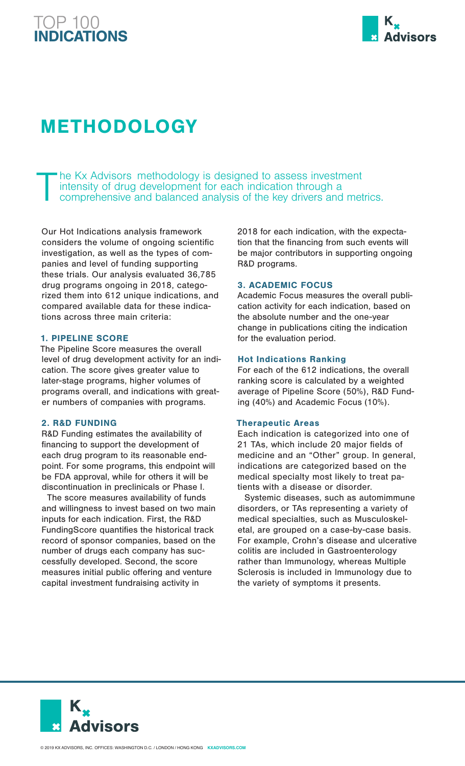### TOP 100 INDICATIONS



## METHODOLOGY

The Kx Advisors methodology is designed to assess investment intensity of drug development for each indication through a comprehensive and balanced analysis of the key drivers and met intensity of drug development for each indication through a comprehensive and balanced analysis of the key drivers and metrics.

Our Hot Indications analysis framework considers the volume of ongoing scientific investigation, as well as the types of companies and level of funding supporting these trials. Our analysis evaluated 36,785 drug programs ongoing in 2018, categorized them into 612 unique indications, and compared available data for these indications across three main criteria:

#### 1. PIPELINE SCORE

The Pipeline Score measures the overall level of drug development activity for an indication. The score gives greater value to later-stage programs, higher volumes of programs overall, and indications with greater numbers of companies with programs.

#### 2. R&D FUNDING

R&D Funding estimates the availability of financing to support the development of each drug program to its reasonable endpoint. For some programs, this endpoint will be FDA approval, while for others it will be discontinuation in preclinicals or Phase I.

The score measures availability of funds and willingness to invest based on two main inputs for each indication. First, the R&D FundingScore quantifies the historical track record of sponsor companies, based on the number of drugs each company has successfully developed. Second, the score measures initial public offering and venture capital investment fundraising activity in

2018 for each indication, with the expectation that the financing from such events will be major contributors in supporting ongoing R&D programs.

#### 3. ACADEMIC FOCUS

Academic Focus measures the overall publication activity for each indication, based on the absolute number and the one-year change in publications citing the indication for the evaluation period.

#### Hot Indications Ranking

For each of the 612 indications, the overall ranking score is calculated by a weighted average of Pipeline Score (50%), R&D Funding (40%) and Academic Focus (10%).

#### Therapeutic Areas

Each indication is categorized into one of 21 TAs, which include 20 major fields of medicine and an "Other" group. In general, indications are categorized based on the medical specialty most likely to treat patients with a disease or disorder.

Systemic diseases, such as automimmune disorders, or TAs representing a variety of medical specialties, such as Musculoskeletal, are grouped on a case-by-case basis. For example, Crohn's disease and ulcerative colitis are included in Gastroenterology rather than Immunology, whereas Multiple Sclerosis is included in Immunology due to the variety of symptoms it presents.